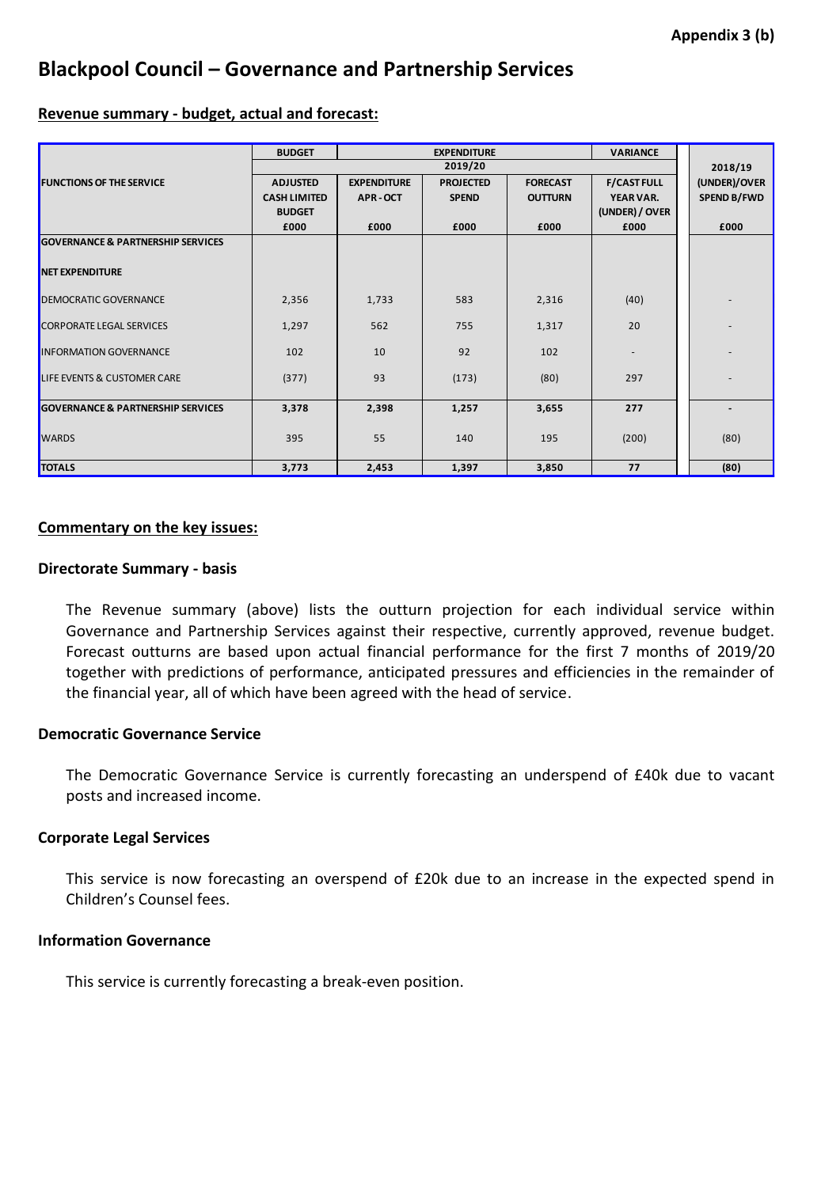# **Blackpool Council – Governance and Partnership Services**

## **Revenue summary - budget, actual and forecast:**

|                                              | <b>BUDGET</b><br><b>EXPENDITURE</b> |                    |                  |                 | <b>VARIANCE</b>    |                    |
|----------------------------------------------|-------------------------------------|--------------------|------------------|-----------------|--------------------|--------------------|
|                                              | 2019/20                             |                    |                  |                 |                    | 2018/19            |
| <b>FUNCTIONS OF THE SERVICE</b>              | <b>ADJUSTED</b>                     | <b>EXPENDITURE</b> | <b>PROJECTED</b> | <b>FORECAST</b> | <b>F/CAST FULL</b> | (UNDER)/OVER       |
|                                              | <b>CASH LIMITED</b>                 | APR-OCT            | <b>SPEND</b>     | <b>OUTTURN</b>  | YEAR VAR.          | <b>SPEND B/FWD</b> |
|                                              | <b>BUDGET</b>                       |                    |                  |                 | (UNDER) / OVER     |                    |
|                                              | £000                                | £000               | £000             | £000            | £000               | £000               |
| <b>GOVERNANCE &amp; PARTNERSHIP SERVICES</b> |                                     |                    |                  |                 |                    |                    |
| <b>NET EXPENDITURE</b>                       |                                     |                    |                  |                 |                    |                    |
|                                              |                                     |                    |                  |                 |                    |                    |
| <b>DEMOCRATIC GOVERNANCE</b>                 | 2,356                               | 1,733              | 583              | 2,316           | (40)               |                    |
| <b>CORPORATE LEGAL SERVICES</b>              | 1,297                               | 562                | 755              | 1,317           | 20                 |                    |
| <b>INFORMATION GOVERNANCE</b>                | 102                                 | 10                 | 92               | 102             |                    |                    |
| LIFE EVENTS & CUSTOMER CARE                  | (377)                               | 93                 | (173)            | (80)            | 297                |                    |
|                                              |                                     |                    |                  |                 |                    |                    |
| <b>GOVERNANCE &amp; PARTNERSHIP SERVICES</b> | 3,378                               | 2,398              | 1,257            | 3,655           | 277                |                    |
| <b>WARDS</b>                                 | 395                                 | 55                 | 140              | 195             | (200)              | (80)               |
|                                              |                                     |                    |                  |                 |                    |                    |
| <b>TOTALS</b>                                | 3,773                               | 2,453              | 1,397            | 3,850           | 77                 | (80)               |
|                                              |                                     |                    |                  |                 |                    |                    |

## **Commentary on the key issues:**

## **Directorate Summary - basis**

The Revenue summary (above) lists the outturn projection for each individual service within Governance and Partnership Services against their respective, currently approved, revenue budget. Forecast outturns are based upon actual financial performance for the first 7 months of 2019/20 together with predictions of performance, anticipated pressures and efficiencies in the remainder of the financial year, all of which have been agreed with the head of service.

## **Democratic Governance Service**

The Democratic Governance Service is currently forecasting an underspend of £40k due to vacant posts and increased income.

## **Corporate Legal Services**

This service is now forecasting an overspend of £20k due to an increase in the expected spend in Children's Counsel fees.

# **Information Governance**

This service is currently forecasting a break-even position.